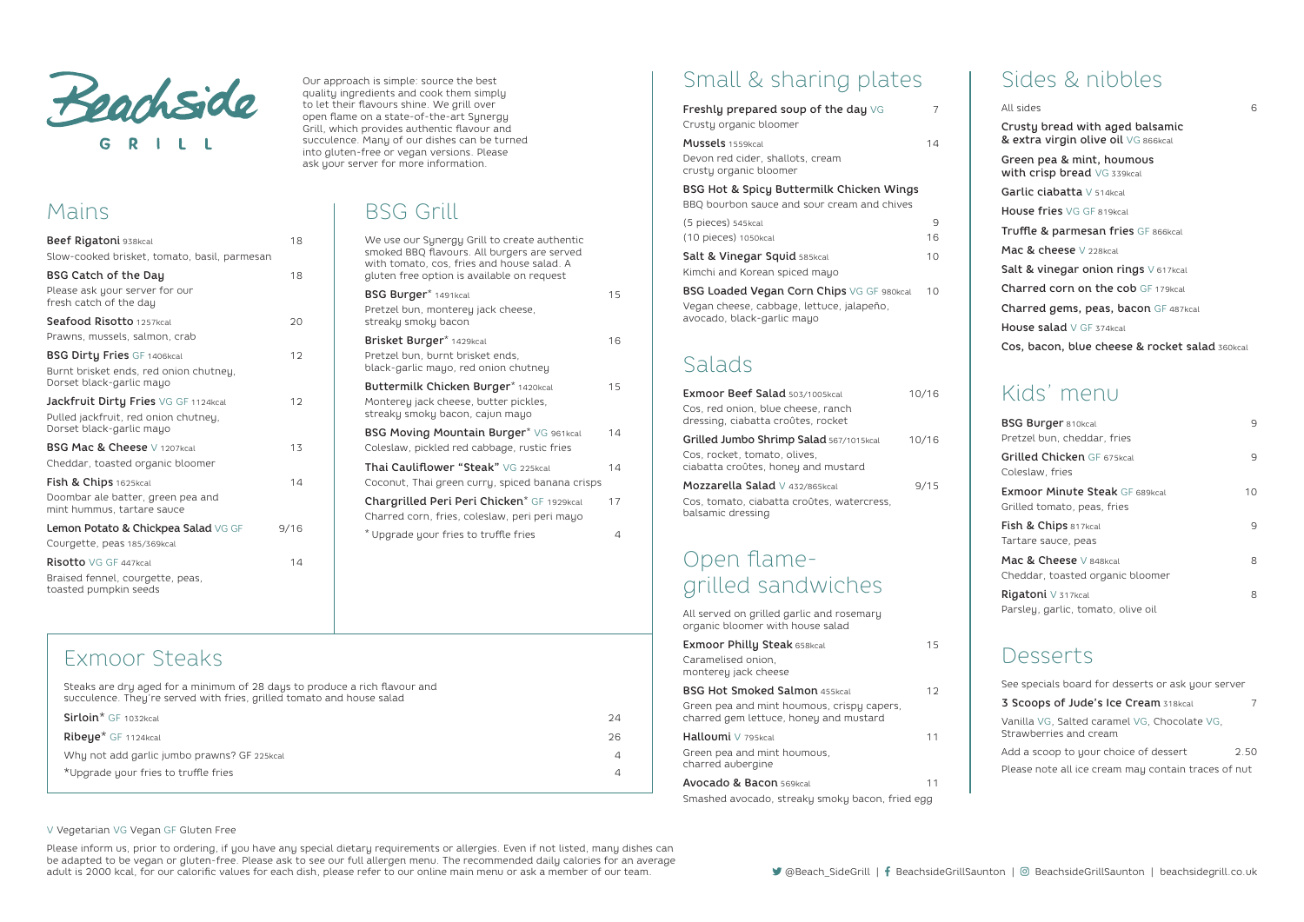

Beef Rigatoni 938kcal 18

BSG Catch of the Day 18

Seafood Risotto 1257kcal 20

BSG Dirty Fries GF 1406kcal 12

**Jackfruit Dirtu Fries** VG GF 1124kcal 12

BSG Mac & Cheese V 1207kcal 13

**Fish & Chips** 1625kcal 14

Lemon Potato & Chickpea Salad VG GF 9/16

Risotto VG GF 447kcal 14

Mains

Our approach is simple: source the best quality ingredients and cook them simply to let their flavours shine. We grill over open flame on a state-of-the-art Synergy Grill, which provides authentic flavour and succulence. Many of our dishes can be turned into gluten-free or vegan versions. Please ask your server for more information.

Slow-cooked brisket, tomato, basil, parmesan

Please ask your server for our

fresh catch of the day

Prawns, mussels, salmon, crab

Burnt brisket ends, red onion chutney,

Dorset black-garlic mayo

Pulled jackfruit, red onion chutney,

Dorset black-garlic mayo

Cheddar, toasted organic bloomer

Doombar ale batter, green pea and mint hummus, tartare sauce

Courgette, peas 185/369kcal

Braised fennel, courgette, peas,

toasted pumpkin seeds

## BSG Grill

| We use our Synergy Grill to create authentic<br>smoked BBQ flavours. All burgers are served<br>with tomato, cos, fries and house salad. A<br>gluten free option is available on request |    |
|-----------------------------------------------------------------------------------------------------------------------------------------------------------------------------------------|----|
| BSG Burger* 1491kcal<br>Pretzel bun, monterey jack cheese,<br>streaky smoky bacon                                                                                                       | 15 |
| Brisket Burger* 1429kcal<br>Pretzel bun, burnt brisket ends,<br>black-garlic mayo, red onion chutney                                                                                    | 16 |
| Buttermilk Chicken Burger* 1420kcal<br>Monterey jack cheese, butter pickles,<br>streaky smoky bacon, cajun mayo                                                                         | 15 |
| BSG Moving Mountain Burger* VG 961kcal<br>Coleslaw, pickled red cabbage, rustic fries                                                                                                   | 14 |
| Thai Cauliflower "Steak" VG 225kcal<br>Coconut, Thai green curry, spiced banana crisps                                                                                                  | 14 |
| Chargrilled Peri Peri Chicken* GF 1929kcal<br>Charred corn, fries, coleslaw, peri peri mayo                                                                                             | 17 |
| * Upgrade your fries to truffle fries                                                                                                                                                   | 4  |
|                                                                                                                                                                                         |    |

# Small & sharing plates

Please inform us, prior to ordering, if you have any special dietary requirements or allergies. Even if not listed, many dishes can be adapted to be vegan or gluten-free. Please ask to see our full allergen menu. The recommended daily calories for an average adult is 2000 kcal, for our calorific values for each dish, please refer to our online main menu or ask a member of our team. <br>
@Beach\_SideGrill | | BeachsideGrillSaunton | © BeachsideGrillSaunton | © BeachsideGrillSaunton

| Freshly prepared soup of the day VG                                                                                         | 7     |
|-----------------------------------------------------------------------------------------------------------------------------|-------|
| Crusty organic bloomer                                                                                                      |       |
| <b>Mussels</b> 1559kcal<br>Devon red cider, shallots, cream<br>crusty organic bloomer                                       | 14    |
| BSG Hot & Spicy Buttermilk Chicken Wings                                                                                    |       |
| BBQ bourbon sauce and sour cream and chives                                                                                 |       |
| (5 pieces) 545kcal                                                                                                          | 9     |
| (10 pieces) 1050kcal                                                                                                        | 16    |
| Salt & Vinegar Squid 585kcal<br>Kimchi and Korean spiced mayo                                                               | 10    |
| <b>BSG Loaded Vegan Corn Chips VG GF 980kcal</b><br>Vegan cheese, cabbage, lettuce, jalapeño,<br>avocado, black-garlic mayo | 10    |
| Salads                                                                                                                      |       |
| <b>Exmoor Beef Salad 503/1005kcal</b>                                                                                       | 10/16 |
| Cos, red onion, blue cheese, ranch<br>dressing, ciabatta croûtes, rocket                                                    |       |
| Grilled Jumbo Shrimp Salad 567/1015kcal                                                                                     | 10/16 |
| Cos, rocket, tomato, olives,<br>ciabatta croûtes, honey and mustard                                                         |       |
| Mozzarella Salad V 432/865kcal<br>Cos, tomato, ciabatta croûtes, watercress,<br>balsamic dressing                           | 9/15  |
| Open flame-                                                                                                                 |       |
| grilled sandwiches                                                                                                          |       |
| All served on grilled garlic and rosemary<br>organic bloomer with house salad                                               |       |
| <b>Exmoor Philly Steak 658kcal</b><br>Caramelised onion.<br>monterey jack cheese                                            | 15    |

| $11011212124$ $122112112222$                                                         |     |
|--------------------------------------------------------------------------------------|-----|
| <b>BSG Hot Smoked Salmon 455kcal</b>                                                 | 1 2 |
| Green pea and mint houmous, crispy capers,<br>charred gem lettuce, honey and mustard |     |
| Halloumi V 795kcal                                                                   | 11  |
| Green pea and mint houmous,                                                          |     |

charred aubergine Avocado & Bacon 569kcal 11 Smashed avocado, streaky smoky bacon, fried egg

### Sides & nibbles

All sides 6 Crusty bread with aged balsamic & extra virgin olive oil VG 866kcal Green pea & mint, houmous with crisp bread VG 339kcal Garlic ciabatta V 514kcal House fries VG GF 819kcal Truffle & parmesan fries GF 866kcal Mac & cheese V 228kcal Salt & vinegar onion rings V 617kcal Charred corn on the cob GF 179kcal Charred gems, peas, bacon GF 487kcal House salad V GF 374kcal Cos, bacon, blue cheese & rocket salad 360kcal

#### Kids' menu

| <b>BSG Burger 810kcal</b><br>Pretzel bun, cheddar, fries             | 9  |
|----------------------------------------------------------------------|----|
| Grilled Chicken GF 675kcal<br>Coleslaw, fries                        | 9  |
| <b>Exmoor Minute Steak GF 689kcal</b><br>Grilled tomato, peas, fries | 10 |
| Fish & Chips 817kcal<br>Tartare sauce, peas                          | 9  |
| Mac & Cheese V 848kcal<br>Cheddar, toasted organic bloomer           | 8  |
| Rigatoni V 317kcal<br>Parsley, garlic, tomato, olive oil             | 8  |

#### Desserts

| See specials board for desserts or ask your server                     |      |
|------------------------------------------------------------------------|------|
| 3 Scoops of Jude's Ice Cream 318kcal                                   | 7    |
| Vanilla VG, Salted caramel VG, Chocolate VG,<br>Strawberries and cream |      |
| Add a scoop to your choice of dessert                                  | 2.50 |
| Please note all ice cream may contain traces of nut                    |      |

#### Exmoor Steaks

Steaks are dry aged for a minimum of 28 days to produce a rich flavour and succulence. They're served with fries, grilled tomato and house salad

| $Sirloin*$ GF 1032kcal                      | 24 |
|---------------------------------------------|----|
| <b>Ribeye</b> <sup>*</sup> GF 1124kcal      | 26 |
| Why not add garlic jumbo prawns? GF 225kcal |    |
| *Upgrade your fries to truffle fries        |    |

#### V Vegetarian VG Vegan GF Gluten Free